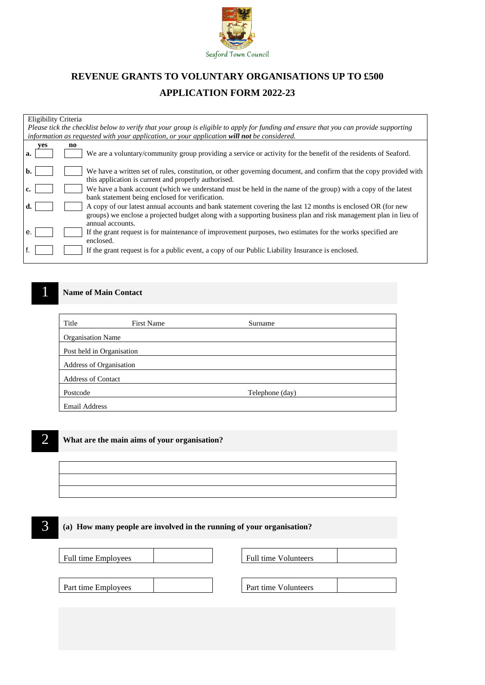

# **REVENUE GRANTS TO VOLUNTARY ORGANISATIONS UP TO £500 APPLICATION FORM 2022-23**

| Eligibility Criteria                                                                                                                  |  |
|---------------------------------------------------------------------------------------------------------------------------------------|--|
| Please tick the checklist below to verify that your group is eligible to apply for funding and ensure that you can provide supporting |  |
| information as requested with your application, or your application will not be considered.                                           |  |
| ves<br>no                                                                                                                             |  |
| We are a voluntary/community group providing a service or activity for the benefit of the residents of Seaford.<br>a.                 |  |
|                                                                                                                                       |  |
| We have a written set of rules, constitution, or other governing document, and confirm that the copy provided with<br>b.              |  |
| this application is current and properly authorised.                                                                                  |  |
| We have a bank account (which we understand must be held in the name of the group) with a copy of the latest<br>c.                    |  |
| bank statement being enclosed for verification.                                                                                       |  |
| A copy of our latest annual accounts and bank statement covering the last 12 months is enclosed OR (for new<br>d.                     |  |
| groups) we enclose a projected budget along with a supporting business plan and risk management plan in lieu of                       |  |
| annual accounts.                                                                                                                      |  |
| If the grant request is for maintenance of improvement purposes, two estimates for the works specified are<br>e.                      |  |
| enclosed.                                                                                                                             |  |
| If the grant request is for a public event, a copy of our Public Liability Insurance is enclosed.                                     |  |
|                                                                                                                                       |  |

## **1 • Name of Main Contact**

| Title                     | <b>First Name</b> | Surname         |  |
|---------------------------|-------------------|-----------------|--|
| <b>Organisation Name</b>  |                   |                 |  |
| Post held in Organisation |                   |                 |  |
| Address of Organisation   |                   |                 |  |
| <b>Address of Contact</b> |                   |                 |  |
| Postcode                  |                   | Telephone (day) |  |
| <b>Email Address</b>      |                   |                 |  |



## 2 **What are the main aims of your organisation?**

## 3 **(a) How many people are involved in the running of your organisation?**

| Full time Employees | Full time Volunteers |  |
|---------------------|----------------------|--|
|                     |                      |  |
| Part time Employees | Part time Volunteers |  |
|                     |                      |  |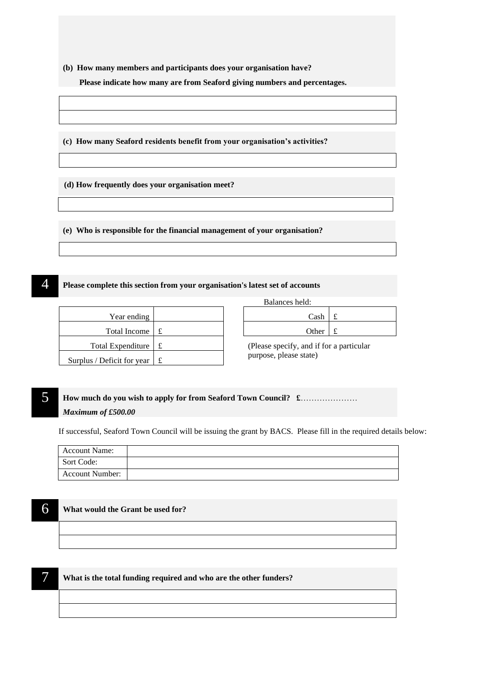**(b) How many members and participants does your organisation have?** 

 **Please indicate how many are from Seaford giving numbers and percentages.**

**(c) How many Seaford residents benefit from your organisation's activities?**

**(d) How frequently does your organisation meet?**

**(e) Who is responsible for the financial management of your organisation?**

## 4 **Please complete this section from your organisation's latest set of accounts**

| Year ending                |   |  | Cash                                                    |   |
|----------------------------|---|--|---------------------------------------------------------|---|
| <b>Total Income</b>        |   |  | Other                                                   | £ |
| Total Expenditure          |   |  | (Please specify, and if for a<br>purpose, please state) |   |
| Surplus / Deficit for year | £ |  |                                                         |   |

| Balances held:                 |  |
|--------------------------------|--|
| Cash $\pm$                     |  |
| Other $\vert \mathbf{f} \vert$ |  |

(Please specify, and if for a particular purpose, please state)

## 5 **How much do you wish to apply for from Seaford Town Council? £**………………… *Maximum of £500.00*

If successful, Seaford Town Council will be issuing the grant by BACS. Please fill in the required details below:

| <b>Account Name:</b> |  |
|----------------------|--|
| Sort Code:           |  |
| Account Number:      |  |

#### 6 **What would the Grant be used for?**

7 **What is the total funding required and who are the other funders?**